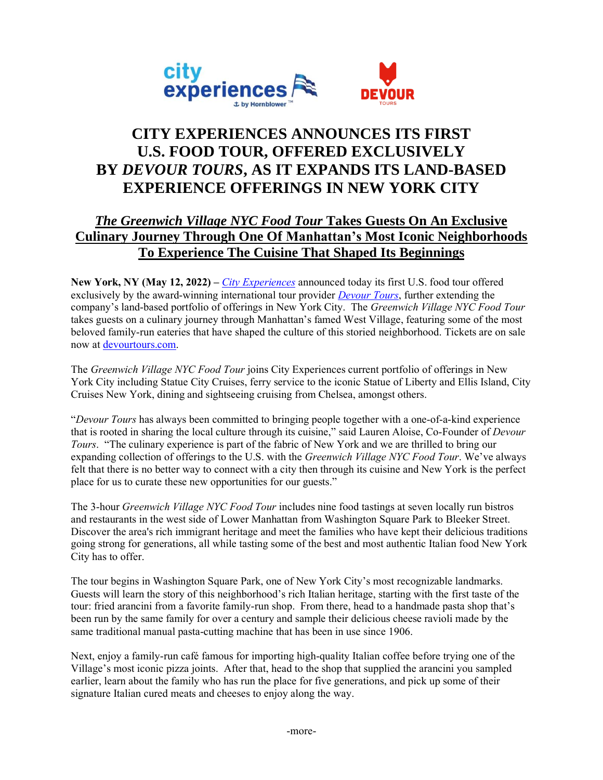

# **CITY EXPERIENCES ANNOUNCES ITS FIRST U.S. FOOD TOUR, OFFERED EXCLUSIVELY BY** *DEVOUR TOURS***, AS IT EXPANDS ITS LAND-BASED EXPERIENCE OFFERINGS IN NEW YORK CITY**

# *The Greenwich Village NYC Food Tour* **Takes Guests On An Exclusive Culinary Journey Through One Of Manhattan's Most Iconic Neighborhoods To Experience The Cuisine That Shaped Its Beginnings**

**New York, NY (May 12, 2022) –** *[City Experiences](https://www.cityexperiences.com/)* announced today its first U.S. food tour offered exclusively by the award-winning international tour provider *[Devour Tours](https://devourtours.com/)*, further extending the company's land-based portfolio of offerings in New York City. The *Greenwich Village NYC Food Tour* takes guests on a culinary journey through Manhattan's famed West Village, featuring some of the most beloved family-run eateries that have shaped the culture of this storied neighborhood. Tickets are on sale now at [devourtours.com.](https://devourtours.com/tours/new-york-city-greenwich-village/)

The *Greenwich Village NYC Food Tour* joins City Experiences current portfolio of offerings in New York City including Statue City Cruises, ferry service to the iconic Statue of Liberty and Ellis Island, City Cruises New York, dining and sightseeing cruising from Chelsea, amongst others.

"*Devour Tours* has always been committed to bringing people together with a one-of-a-kind experience that is rooted in sharing the local culture through its cuisine," said Lauren Aloise, Co-Founder of *Devour Tours*. "The culinary experience is part of the fabric of New York and we are thrilled to bring our expanding collection of offerings to the U.S. with the *Greenwich Village NYC Food Tour*. We've always felt that there is no better way to connect with a city then through its cuisine and New York is the perfect place for us to curate these new opportunities for our guests."

The 3-hour *Greenwich Village NYC Food Tour* includes nine food tastings at seven locally run bistros and restaurants in the west side of Lower Manhattan from Washington Square Park to Bleeker Street. Discover the area's rich immigrant heritage and meet the families who have kept their delicious traditions going strong for generations, all while tasting some of the best and most authentic Italian food New York City has to offer.

The tour begins in Washington Square Park, one of New York City's most recognizable landmarks. Guests will learn the story of this neighborhood's rich Italian heritage, starting with the first taste of the tour: fried arancini from a favorite family-run shop. From there, head to a handmade pasta shop that's been run by the same family for over a century and sample their delicious cheese ravioli made by the same traditional manual pasta-cutting machine that has been in use since 1906.

Next, enjoy a family-run café famous for importing high-quality Italian coffee before trying one of the Village's most iconic pizza joints. After that, head to the shop that supplied the arancini you sampled earlier, learn about the family who has run the place for five generations, and pick up some of their signature Italian cured meats and cheeses to enjoy along the way.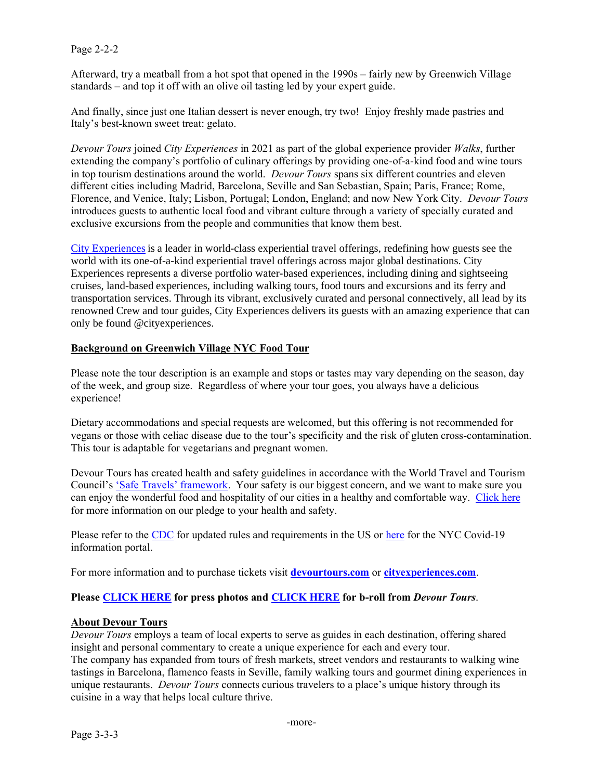#### Page 2-2-2

Afterward, try a meatball from a hot spot that opened in the 1990s – fairly new by Greenwich Village standards – and top it off with an olive oil tasting led by your expert guide.

And finally, since just one Italian dessert is never enough, try two! Enjoy freshly made pastries and Italy's best-known sweet treat: gelato.

*Devour Tours* joined *City Experiences* in 2021 as part of the global experience provider *Walks*, further extending the company's portfolio of culinary offerings by providing one-of-a-kind food and wine tours in top tourism destinations around the world. *Devour Tours* spans six different countries and eleven different cities including Madrid, Barcelona, Seville and San Sebastian, Spain; Paris, France; Rome, Florence, and Venice, Italy; Lisbon, Portugal; London, England; and now New York City. *Devour Tours* introduces guests to authentic local food and vibrant culture through a variety of specially curated and exclusive excursions from the people and communities that know them best.

[City Experiences](https://www.cityexperiences.com/) is a leader in world-class experiential travel offerings, redefining how guests see the world with its one-of-a-kind experiential travel offerings across major global destinations. City Experiences represents a diverse portfolio water-based experiences, including dining and sightseeing cruises, land-based experiences, including walking tours, food tours and excursions and its ferry and transportation services. Through its vibrant, exclusively curated and personal connectively, all lead by its renowned Crew and tour guides, City Experiences delivers its guests with an amazing experience that can only be found @cityexperiences.

#### **Background on Greenwich Village NYC Food Tour**

Please note the tour description is an example and stops or tastes may vary depending on the season, day of the week, and group size. Regardless of where your tour goes, you always have a delicious experience!

Dietary accommodations and special requests are welcomed, but this offering is not recommended for vegans or those with celiac disease due to the tour's specificity and the risk of gluten cross-contamination. This tour is adaptable for vegetarians and pregnant women.

Devour Tours has created health and safety guidelines in accordance with the World Travel and Tourism Council's ['Safe Travels' framework](https://wttc.org/COVID-19/Safe-Travels-Global-Protocols-Stamp). Your safety is our biggest concern, and we want to make sure you can enjoy the wonderful food and hospitality of our cities in a healthy and comfortable way. [Click here](https://devourtours.com/health-safety/) for more information on our pledge to your health and safety.

Please refer to the [CDC](https://www.cdc.gov/coronavirus/2019-ncov/travelers/index.html) for updated rules and requirements in the US or [here](https://www1.nyc.gov/site/coronavirus/index.page) for the NYC Covid-19 information portal.

For more information and to purchase tickets visit **[devourtours.com](https://devourtours.com/tours/new-york-city-greenwich-village/)** or **[cityexperiences.com](https://www.cityexperiences.com/)**.

# **Please [CLICK HERE](https://drive.google.com/drive/folders/15bMbcfKKlpt_WtdhMoZr13c04oZZgxhz?usp=sharing) for press photos and [CLICK HERE](https://youtu.be/ycoy68dwYls) for b-roll from** *Devour Tours*.

#### **About Devour Tours**

*Devour Tours* employs a team of local experts to serve as guides in each destination, offering shared insight and personal commentary to create a unique experience for each and every tour. The company has expanded from tours of fresh markets, street vendors and restaurants to walking wine tastings in Barcelona, flamenco feasts in Seville, family walking tours and gourmet dining experiences in unique restaurants. *Devour Tours* connects curious travelers to a place's unique history through its cuisine in a way that helps local culture thrive.